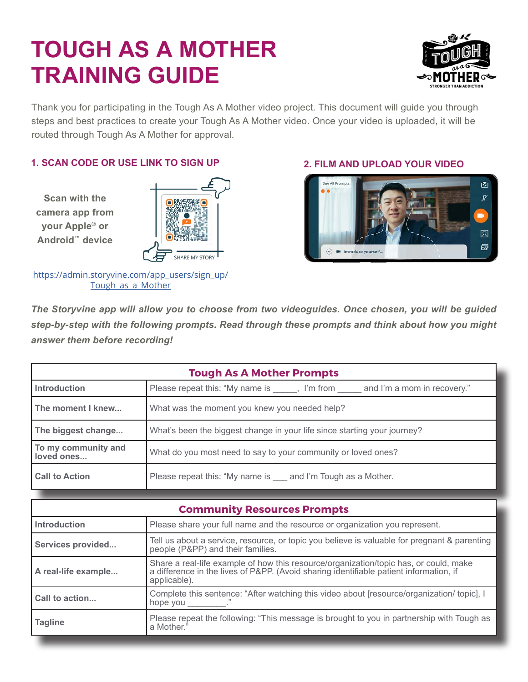

Thank you for participating in the Tough As A Mother video project. This document will guide you through steps and best practices to create your Tough As A Mother video. Once your video is uploaded, it will be routed through Tough As A Mother for approval.

#### **1. SCAN CODE OR USE LINK TO SIGN UP 2. FILM AND UPLOAD YOUR VIDEO**

**Scan with the camera app from your Apple® or Android™ device**



https://admin.storyvine.com/app\_users/sign\_up/ Tough as a Mother



*The Storyvine app will allow you to choose from two videoguides. Once chosen, you will be guided step-by-step with the following prompts. Read through these prompts and think about how you might answer them before recording!*

| <b>Tough As A Mother Prompts</b>  |                                                                                   |  |
|-----------------------------------|-----------------------------------------------------------------------------------|--|
| <b>Introduction</b>               | Please repeat this: "My name is _____, I'm from _____ and I'm a mom in recovery." |  |
| The moment I knew                 | What was the moment you knew you needed help?                                     |  |
| The biggest change                | What's been the biggest change in your life since starting your journey?          |  |
| To my community and<br>loved ones | What do you most need to say to your community or loved ones?                     |  |
| <b>Call to Action</b>             | Please repeat this: "My name is ____ and I'm Tough as a Mother.                   |  |
|                                   |                                                                                   |  |

| <b>Community Resources Prompts</b> |                                                                                                                                                                                                 |
|------------------------------------|-------------------------------------------------------------------------------------------------------------------------------------------------------------------------------------------------|
| <b>Introduction</b>                | Please share your full name and the resource or organization you represent.                                                                                                                     |
| Services provided                  | Tell us about a service, resource, or topic you believe is valuable for pregnant & parenting<br>people (P&PP) and their families.                                                               |
| A real-life example                | Share a real-life example of how this resource/organization/topic has, or could, make<br>a difference in the lives of P&PP. (Avoid sharing identifiable patient information, if<br>applicable). |
| Call to action                     | Complete this sentence: "After watching this video about [resource/organization/ topic], I<br>hope you $\_\_$                                                                                   |
| <b>Tagline</b>                     | Please repeat the following: "This message is brought to you in partnership with Tough as<br>a Mother."                                                                                         |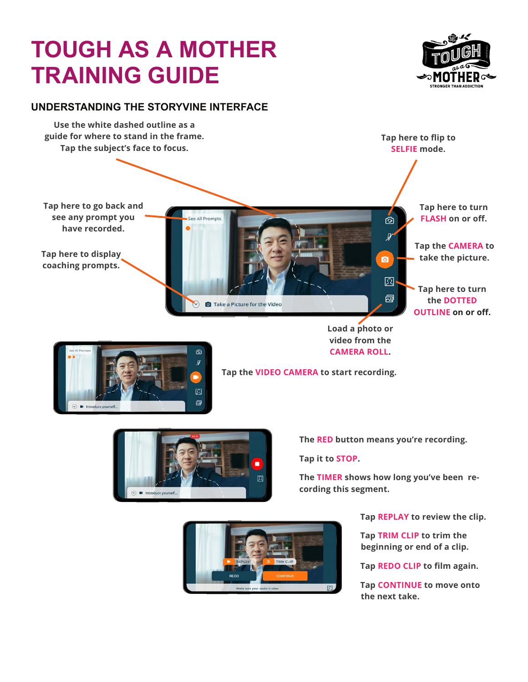

#### **UNDERSTANDING THE STORYVINE INTERFACE**





**Tap the VIDEO CAMERA to start recording.** 



**The RED button means you're recording.** 

**Tap it to STOP.** 

**The TIMER shows how long you've been recording this segment.**



**Tap REPLAY to review the clip.** 

**Tap TRIM CLIP to trim the beginning or end of a clip.**

**Tap REDO CLIP to film again.** 

**Tap CONTINUE to move onto the next take.**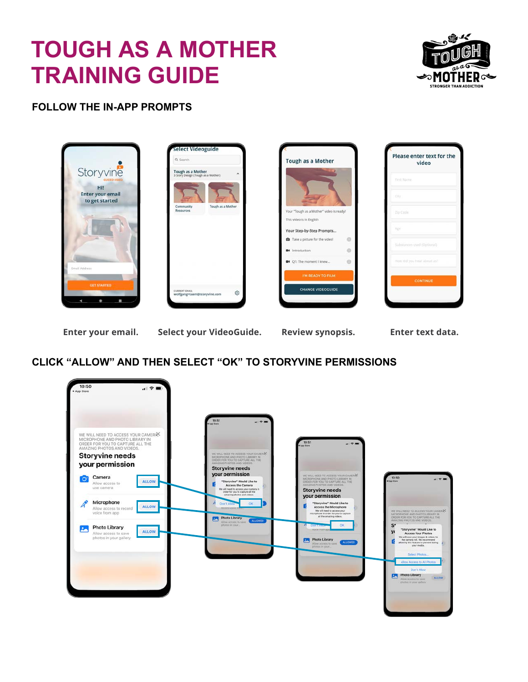

#### **FOLLOW THE IN-APP PROMPTS**



Enter your email. Select your VideoGuide. Review synopsis. Enter text data.

### **CLICK "ALLOW" AND THEN SELECT "OK" TO STORYVINE PERMISSIONS**

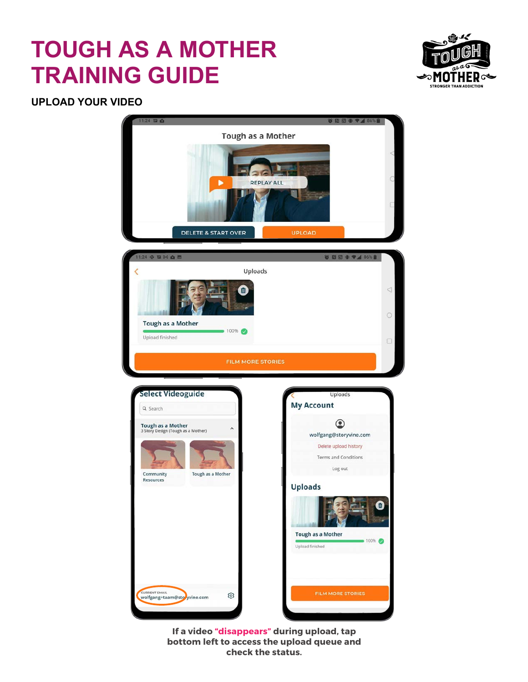

#### **UPLOAD YOUR VIDEO**



**If a video "disappears" during upload, tap bottom left to access the upload queue and check the status.**